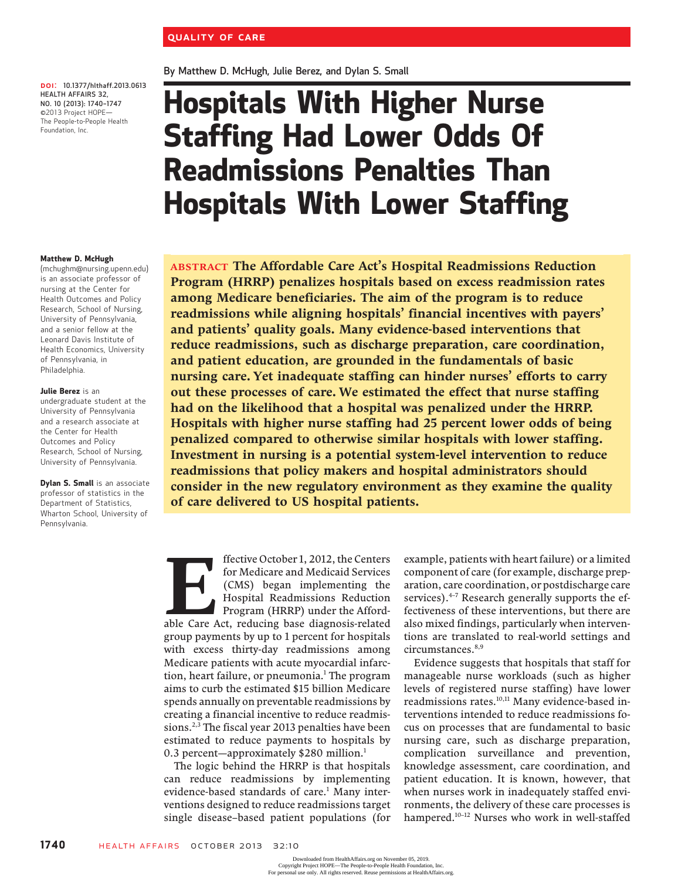## Quality Of Care

DOI: 10.1377/hlthaff.2013.0613 HEALTH AFFAIRS 32, NO. 10 (2013): 1740*–*<sup>1747</sup> ©2013 Project HOPE— The People-to-People Health Foundation, Inc.

#### Matthew D. McHugh

(mchughm@nursing.upenn.edu) is an associate professor of nursing at the Center for Health Outcomes and Policy Research, School of Nursing, University of Pennsylvania, and a senior fellow at the Leonard Davis Institute of Health Economics, University of Pennsylvania, in Philadelphia.

#### Julie Berez is an

undergraduate student at the University of Pennsylvania and a research associate at the Center for Health Outcomes and Policy Research, School of Nursing, University of Pennsylvania.

Dylan S. Small is an associate professor of statistics in the Department of Statistics, Wharton School, University of Pennsylvania.

By Matthew D. McHugh, Julie Berez, and Dylan S. Small

# Hospitals With Higher Nurse Staffing Had Lower Odds Of Readmissions Penalties Than Hospitals With Lower Staffing

ABSTRACT The Affordable Care Act's Hospital Readmissions Reduction Program (HRRP) penalizes hospitals based on excess readmission rates among Medicare beneficiaries. The aim of the program is to reduce readmissions while aligning hospitals' financial incentives with payers' and patients' quality goals. Many evidence-based interventions that reduce readmissions, such as discharge preparation, care coordination, and patient education, are grounded in the fundamentals of basic nursing care. Yet inadequate staffing can hinder nurses' efforts to carry out these processes of care. We estimated the effect that nurse staffing had on the likelihood that a hospital was penalized under the HRRP. Hospitals with higher nurse staffing had 25 percent lower odds of being penalized compared to otherwise similar hospitals with lower staffing. Investment in nursing is a potential system-level intervention to reduce readmissions that policy makers and hospital administrators should consider in the new regulatory environment as they examine the quality of care delivered to US hospital patients.

Ffective October 1, 2012, the Centers<br>
for Medicare and Medicaid Services<br>
(CMS) began implementing the<br>
Hospital Readmissions Reduction<br>
Program (HRRP) under the Afford-<br>
able Care Act, reducing base diagnosis-related for Medicare and Medicaid Services (CMS) began implementing the Hospital Readmissions Reduction Program (HRRP) under the Affordgroup payments by up to 1 percent for hospitals with excess thirty-day readmissions among Medicare patients with acute myocardial infarction, heart failure, or pneumonia.<sup>1</sup> The program aims to curb the estimated \$15 billion Medicare spends annually on preventable readmissions by creating a financial incentive to reduce readmissions.<sup>2,3</sup> The fiscal year 2013 penalties have been estimated to reduce payments to hospitals by 0.3 percent—approximately \$280 million.<sup>1</sup>

The logic behind the HRRP is that hospitals can reduce readmissions by implementing evidence-based standards of care.<sup>1</sup> Many interventions designed to reduce readmissions target single disease–based patient populations (for

example, patients with heart failure) or a limited component of care (for example, discharge preparation, care coordination, or postdischarge care services). $4-7$  Research generally supports the effectiveness of these interventions, but there are also mixed findings, particularly when interventions are translated to real-world settings and circumstances.<sup>8,9</sup>

Evidence suggests that hospitals that staff for manageable nurse workloads (such as higher levels of registered nurse staffing) have lower readmissions rates.<sup>10,11</sup> Many evidence-based interventions intended to reduce readmissions focus on processes that are fundamental to basic nursing care, such as discharge preparation, complication surveillance and prevention, knowledge assessment, care coordination, and patient education. It is known, however, that when nurses work in inadequately staffed environments, the delivery of these care processes is hampered.<sup>10-12</sup> Nurses who work in well-staffed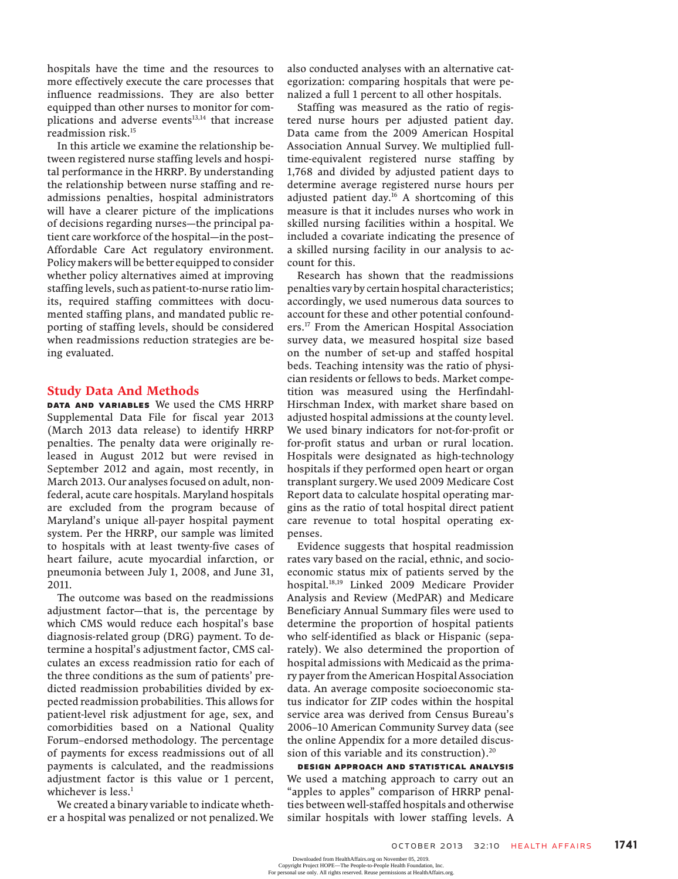hospitals have the time and the resources to more effectively execute the care processes that influence readmissions. They are also better equipped than other nurses to monitor for complications and adverse events $13,14$  that increase readmission risk.15

In this article we examine the relationship between registered nurse staffing levels and hospital performance in the HRRP. By understanding the relationship between nurse staffing and readmissions penalties, hospital administrators will have a clearer picture of the implications of decisions regarding nurses—the principal patient care workforce of the hospital—in the post– Affordable Care Act regulatory environment. Policy makers will be better equipped to consider whether policy alternatives aimed at improving staffing levels, such as patient-to-nurse ratio limits, required staffing committees with documented staffing plans, and mandated public reporting of staffing levels, should be considered when readmissions reduction strategies are being evaluated.

## Study Data And Methods

DATA AND VARIABLES We used the CMS HRRP Supplemental Data File for fiscal year 2013 (March 2013 data release) to identify HRRP penalties. The penalty data were originally released in August 2012 but were revised in September 2012 and again, most recently, in March 2013. Our analyses focused on adult, nonfederal, acute care hospitals. Maryland hospitals are excluded from the program because of Maryland's unique all-payer hospital payment system. Per the HRRP, our sample was limited to hospitals with at least twenty-five cases of heart failure, acute myocardial infarction, or pneumonia between July 1, 2008, and June 31, 2011.

The outcome was based on the readmissions adjustment factor—that is, the percentage by which CMS would reduce each hospital's base diagnosis-related group (DRG) payment. To determine a hospital's adjustment factor, CMS calculates an excess readmission ratio for each of the three conditions as the sum of patients' predicted readmission probabilities divided by expected readmission probabilities. This allows for patient-level risk adjustment for age, sex, and comorbidities based on a National Quality Forum–endorsed methodology. The percentage of payments for excess readmissions out of all payments is calculated, and the readmissions adjustment factor is this value or 1 percent, whichever is less.<sup>1</sup>

We created a binary variable to indicate whether a hospital was penalized or not penalized.We also conducted analyses with an alternative categorization: comparing hospitals that were penalized a full 1 percent to all other hospitals.

Staffing was measured as the ratio of registered nurse hours per adjusted patient day. Data came from the 2009 American Hospital Association Annual Survey. We multiplied fulltime-equivalent registered nurse staffing by 1,768 and divided by adjusted patient days to determine average registered nurse hours per adjusted patient day.16 A shortcoming of this measure is that it includes nurses who work in skilled nursing facilities within a hospital. We included a covariate indicating the presence of a skilled nursing facility in our analysis to account for this.

Research has shown that the readmissions penalties vary by certain hospital characteristics; accordingly, we used numerous data sources to account for these and other potential confounders.17 From the American Hospital Association survey data, we measured hospital size based on the number of set-up and staffed hospital beds. Teaching intensity was the ratio of physician residents or fellows to beds. Market competition was measured using the Herfindahl-Hirschman Index, with market share based on adjusted hospital admissions at the county level. We used binary indicators for not-for-profit or for-profit status and urban or rural location. Hospitals were designated as high-technology hospitals if they performed open heart or organ transplant surgery.We used 2009 Medicare Cost Report data to calculate hospital operating margins as the ratio of total hospital direct patient care revenue to total hospital operating expenses.

Evidence suggests that hospital readmission rates vary based on the racial, ethnic, and socioeconomic status mix of patients served by the hospital.18,19 Linked 2009 Medicare Provider Analysis and Review (MedPAR) and Medicare Beneficiary Annual Summary files were used to determine the proportion of hospital patients who self-identified as black or Hispanic (separately). We also determined the proportion of hospital admissions with Medicaid as the primary payer from the American Hospital Association data. An average composite socioeconomic status indicator for ZIP codes within the hospital service area was derived from Census Bureau's 2006–10 American Community Survey data (see the online Appendix for a more detailed discussion of this variable and its construction). $20$ 

Design Approach And Statistical Analysis We used a matching approach to carry out an "apples to apples" comparison of HRRP penalties between well-staffed hospitals and otherwise similar hospitals with lower staffing levels. A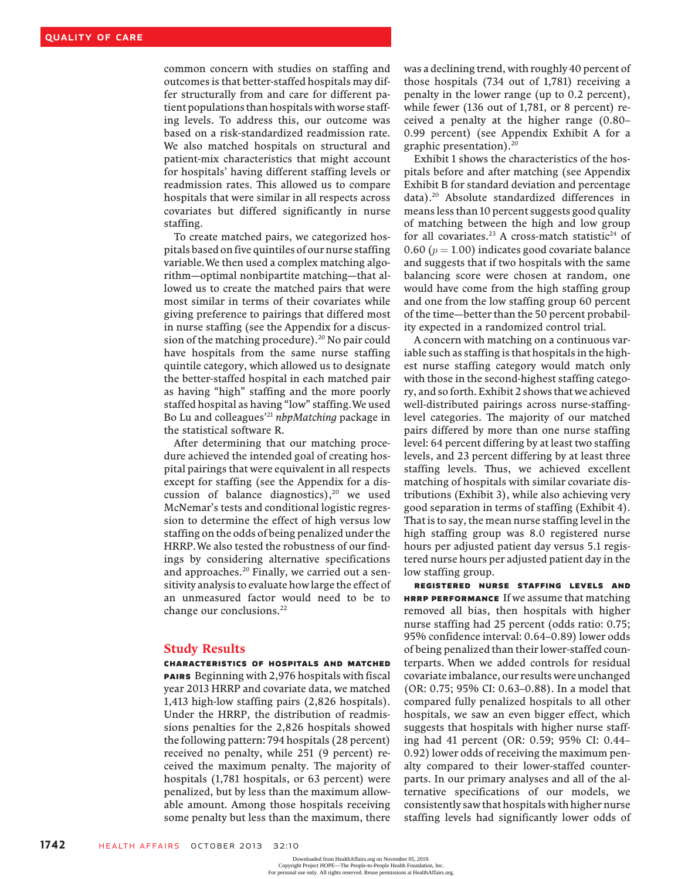common concern with studies on staffing and outcomes is that better-staffed hospitals may differ structurally from and care for different patient populations than hospitals with worse staffing levels. To address this, our outcome was based on a risk-standardized readmission rate. We also matched hospitals on structural and patient-mix characteristics that might account for hospitals' having different staffing levels or readmission rates. This allowed us to compare hospitals that were similar in all respects across covariates but differed significantly in nurse staffing.

To create matched pairs, we categorized hospitals based on five quintiles of our nurse staffing variable.We then used a complex matching algorithm—optimal nonbipartite matching—that allowed us to create the matched pairs that were most similar in terms of their covariates while giving preference to pairings that differed most in nurse staffing (see the Appendix for a discussion of the matching procedure).<sup>20</sup> No pair could have hospitals from the same nurse staffing quintile category, which allowed us to designate the better-staffed hospital in each matched pair as having "high" staffing and the more poorly staffed hospital as having "low" staffing.We used Bo Lu and colleagues'<sup>21</sup> nbpMatching package in<br>the statistical software P the statistical software R.

After determining that our matching procedure achieved the intended goal of creating hospital pairings that were equivalent in all respects except for staffing (see the Appendix for a discussion of balance diagnostics), $20$  we used McNemar's tests and conditional logistic regression to determine the effect of high versus low staffing on the odds of being penalized under the HRRP.We also tested the robustness of our findings by considering alternative specifications and approaches.<sup>20</sup> Finally, we carried out a sensitivity analysis to evaluate how large the effect of an unmeasured factor would need to be to change our conclusions.<sup>22</sup>

## Study Results

Characteristics Of Hospitals And Matched Pairs Beginning with 2,976 hospitals with fiscal year 2013 HRRP and covariate data, we matched 1,413 high-low staffing pairs (2,826 hospitals). Under the HRRP, the distribution of readmissions penalties for the 2,826 hospitals showed the following pattern: 794 hospitals (28 percent) received no penalty, while 251 (9 percent) received the maximum penalty. The majority of hospitals (1,781 hospitals, or 63 percent) were penalized, but by less than the maximum allowable amount. Among those hospitals receiving some penalty but less than the maximum, there was a declining trend, with roughly 40 percent of those hospitals (734 out of 1,781) receiving a penalty in the lower range (up to 0.2 percent), while fewer (136 out of 1,781, or 8 percent) received a penalty at the higher range (0.80– 0.99 percent) (see Appendix Exhibit A for a graphic presentation). $^{20}$ 

Exhibit 1 shows the characteristics of the hospitals before and after matching (see Appendix Exhibit B for standard deviation and percentage data).20 Absolute standardized differences in means less than 10 percent suggests good quality of matching between the high and low group for all covariates.<sup>23</sup> A cross-match statistic<sup>24</sup> of 0.60 ( $p = 1.00$ ) indicates good covariate balance and suggests that if two hospitals with the same balancing score were chosen at random, one would have come from the high staffing group and one from the low staffing group 60 percent of the time—better than the 50 percent probability expected in a randomized control trial.

A concern with matching on a continuous variable such as staffing is that hospitals in the highest nurse staffing category would match only with those in the second-highest staffing category, and so forth. Exhibit 2 shows that we achieved well-distributed pairings across nurse-staffinglevel categories. The majority of our matched pairs differed by more than one nurse staffing level: 64 percent differing by at least two staffing levels, and 23 percent differing by at least three staffing levels. Thus, we achieved excellent matching of hospitals with similar covariate distributions (Exhibit 3), while also achieving very good separation in terms of staffing (Exhibit 4). That is to say, the mean nurse staffing level in the high staffing group was 8.0 registered nurse hours per adjusted patient day versus 5.1 registered nurse hours per adjusted patient day in the low staffing group.

Registered Nurse Staffing Levels And HRRP Performance If we assume that matching removed all bias, then hospitals with higher nurse staffing had 25 percent (odds ratio: 0.75; 95% confidence interval: 0.64–0.89) lower odds of being penalized than their lower-staffed counterparts. When we added controls for residual covariate imbalance, our results were unchanged (OR: 0.75; 95% CI: 0.63–0.88). In a model that compared fully penalized hospitals to all other hospitals, we saw an even bigger effect, which suggests that hospitals with higher nurse staffing had 41 percent (OR: 0.59; 95% CI: 0.44– 0.92) lower odds of receiving the maximum penalty compared to their lower-staffed counterparts. In our primary analyses and all of the alternative specifications of our models, we consistently saw that hospitals with higher nurse staffing levels had significantly lower odds of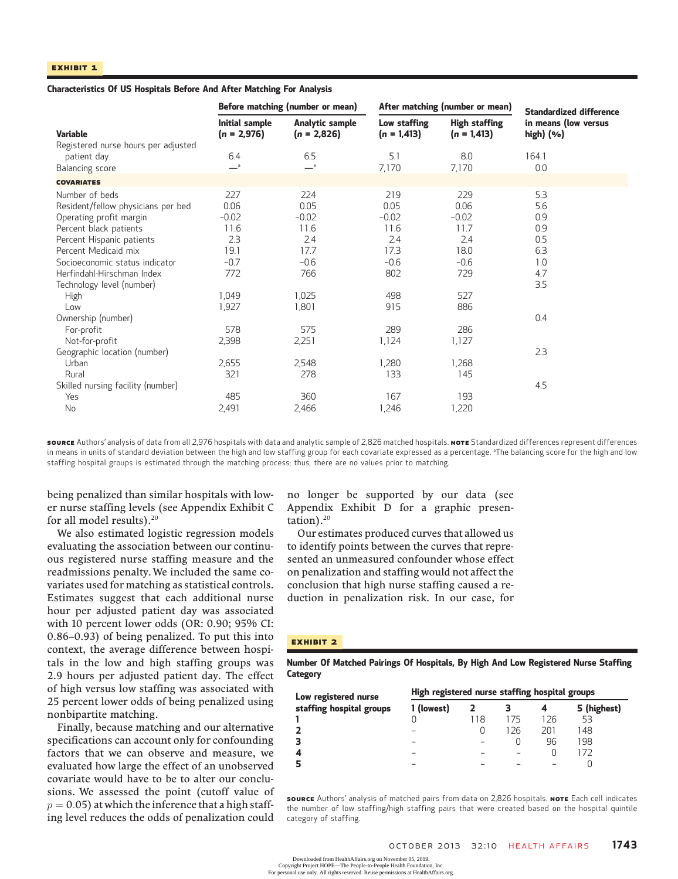#### Characteristics Of US Hospitals Before And After Matching For Analysis

|                                                                                                                                                                                                                                                                     | Before matching (number or mean)                                        |                                                                         |                                                                       | After matching (number or mean)                                       | <b>Standardized difference</b>                              |
|---------------------------------------------------------------------------------------------------------------------------------------------------------------------------------------------------------------------------------------------------------------------|-------------------------------------------------------------------------|-------------------------------------------------------------------------|-----------------------------------------------------------------------|-----------------------------------------------------------------------|-------------------------------------------------------------|
| <b>Variable</b><br>Registered nurse hours per adjusted                                                                                                                                                                                                              | Initial sample<br>$(n = 2,976)$                                         | Analytic sample<br>$(n = 2,826)$                                        | Low staffing<br>$(n = 1,413)$                                         | <b>High staffing</b><br>$(n = 1,413)$                                 | in means (low versus<br>high) (%)                           |
| patient day<br>Balancing score                                                                                                                                                                                                                                      | 6.4<br>$-$ <sup>a</sup>                                                 | 6.5<br>$-$ <sup>a</sup>                                                 | 5.1<br>7,170                                                          | 8.0<br>7,170                                                          | 164.1<br>0.0                                                |
| <b>COVARIATES</b>                                                                                                                                                                                                                                                   |                                                                         |                                                                         |                                                                       |                                                                       |                                                             |
| Number of beds<br>Resident/fellow physicians per bed<br>Operating profit margin<br>Percent black patients<br>Percent Hispanic patients<br>Percent Medicaid mix<br>Socioeconomic status indicator<br>Herfindahl-Hirschman Index<br>Technology level (number)<br>High | 227<br>0.06<br>$-0.02$<br>11.6<br>2.3<br>19.1<br>$-0.7$<br>772<br>1,049 | 224<br>0.05<br>$-0.02$<br>11.6<br>2.4<br>17.7<br>$-0.6$<br>766<br>1,025 | 219<br>0.05<br>$-0.02$<br>11.6<br>2.4<br>17.3<br>$-0.6$<br>802<br>498 | 229<br>0.06<br>$-0.02$<br>11.7<br>2.4<br>18.0<br>$-0.6$<br>729<br>527 | 5.3<br>5.6<br>0.9<br>0.9<br>0.5<br>6.3<br>1.0<br>4.7<br>3.5 |
| Low<br>Ownership (number)<br>For-profit<br>Not-for-profit<br>Geographic location (number)<br>Urban<br>Rural<br>Skilled nursing facility (number)<br>Yes                                                                                                             | 1,927<br>578<br>2,398<br>2,655<br>321<br>485                            | 1,801<br>575<br>2,251<br>2,548<br>278<br>360                            | 915<br>289<br>1,124<br>1,280<br>133<br>167                            | 886<br>286<br>1,127<br>1,268<br>145<br>193                            | 0.4<br>2.3<br>4.5                                           |
| No                                                                                                                                                                                                                                                                  | 2,491                                                                   | 2,466                                                                   | 1,246                                                                 | 1,220                                                                 |                                                             |

source Authors' analysis of data from all 2,976 hospitals with data and analytic sample of 2,826 matched hospitals. Nore Standardized differences represent differences in means in units of standard deviation between the high and low staffing group for each covariate expressed as a percentage. ªThe balancing score for the high and low staffing hospital groups is estimated through the matching process; thus, there are no values prior to matching.

being penalized than similar hospitals with lower nurse staffing levels (see Appendix Exhibit C for all model results).20

We also estimated logistic regression models evaluating the association between our continuous registered nurse staffing measure and the readmissions penalty. We included the same covariates used for matching as statistical controls. Estimates suggest that each additional nurse hour per adjusted patient day was associated with 10 percent lower odds (OR: 0.90; 95% CI: 0.86–0.93) of being penalized. To put this into context, the average difference between hospitals in the low and high staffing groups was 2.9 hours per adjusted patient day. The effect of high versus low staffing was associated with 25 percent lower odds of being penalized using nonbipartite matching.

Finally, because matching and our alternative specifications can account only for confounding factors that we can observe and measure, we evaluated how large the effect of an unobserved covariate would have to be to alter our conclusions. We assessed the point (cutoff value of  $p = 0.05$ ) at which the inference that a high staffing level reduces the odds of penalization could no longer be supported by our data (see Appendix Exhibit D for a graphic presentation).<sup>20</sup>

Our estimates produced curves that allowed us to identify points between the curves that represented an unmeasured confounder whose effect on penalization and staffing would not affect the conclusion that high nurse staffing caused a reduction in penalization risk. In our case, for

### Exhibit 2

Number Of Matched Pairings Of Hospitals, By High And Low Registered Nurse Staffing **Category** 

| Low registered nurse     | High registered nurse staffing hospital groups |     |     |     |             |  |  |
|--------------------------|------------------------------------------------|-----|-----|-----|-------------|--|--|
| staffing hospital groups | 1 (lowest)                                     |     |     |     | 5 (highest) |  |  |
|                          |                                                | 118 | 175 | 126 | 53          |  |  |
|                          |                                                |     | 126 | 201 | 148         |  |  |
|                          |                                                |     |     | 96  | 198         |  |  |
|                          |                                                |     |     |     | 172         |  |  |
|                          |                                                |     |     |     |             |  |  |
|                          |                                                |     |     |     |             |  |  |

**SOURCE** Authors' analysis of matched pairs from data on 2,826 hospitals. NOTE Each cell indicates the number of low staffing/high staffing pairs that were created based on the hospital quintile category of staffing.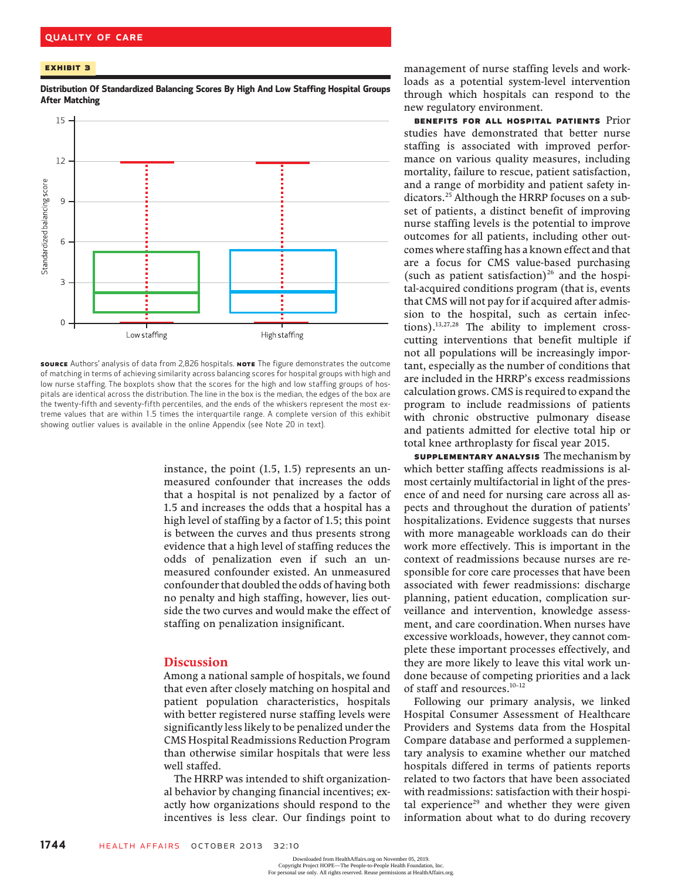#### Exhibit 3

Distribution Of Standardized Balancing Scores By High And Low Staffing Hospital Groups After Matching



source Authors' analysis of data from 2,826 hospitals. Note The figure demonstrates the outcome of matching in terms of achieving similarity across balancing scores for hospital groups with high and low nurse staffing. The boxplots show that the scores for the high and low staffing groups of hospitals are identical across the distribution. The line in the box is the median, the edges of the box are the twenty-fifth and seventy-fifth percentiles, and the ends of the whiskers represent the most extreme values that are within 1.5 times the interquartile range. A complete version of this exhibit showing outlier values is available in the online Appendix (see Note 20 in text).

instance, the point (1.5, 1.5) represents an unmeasured confounder that increases the odds that a hospital is not penalized by a factor of 1.5 and increases the odds that a hospital has a high level of staffing by a factor of 1.5; this point is between the curves and thus presents strong evidence that a high level of staffing reduces the odds of penalization even if such an unmeasured confounder existed. An unmeasured confounder that doubled the odds of having both no penalty and high staffing, however, lies outside the two curves and would make the effect of staffing on penalization insignificant.

## Discussion

Among a national sample of hospitals, we found that even after closely matching on hospital and patient population characteristics, hospitals with better registered nurse staffing levels were significantly less likely to be penalized under the CMS Hospital Readmissions Reduction Program than otherwise similar hospitals that were less well staffed.

The HRRP was intended to shift organizational behavior by changing financial incentives; exactly how organizations should respond to the incentives is less clear. Our findings point to

management of nurse staffing levels and workloads as a potential system-level intervention through which hospitals can respond to the new regulatory environment.

Benefits For All Hospital Patients Prior studies have demonstrated that better nurse staffing is associated with improved performance on various quality measures, including mortality, failure to rescue, patient satisfaction, and a range of morbidity and patient safety indicators.25 Although the HRRP focuses on a subset of patients, a distinct benefit of improving nurse staffing levels is the potential to improve outcomes for all patients, including other outcomes where staffing has a known effect and that are a focus for CMS value-based purchasing (such as patient satisfaction)<sup>26</sup> and the hospital-acquired conditions program (that is, events that CMS will not pay for if acquired after admission to the hospital, such as certain infections).13,27,28 The ability to implement crosscutting interventions that benefit multiple if not all populations will be increasingly important, especially as the number of conditions that are included in the HRRP's excess readmissions calculation grows. CMS is required to expand the program to include readmissions of patients with chronic obstructive pulmonary disease and patients admitted for elective total hip or total knee arthroplasty for fiscal year 2015.

Supplementary Analysis The mechanism by which better staffing affects readmissions is almost certainly multifactorial in light of the presence of and need for nursing care across all aspects and throughout the duration of patients' hospitalizations. Evidence suggests that nurses with more manageable workloads can do their work more effectively. This is important in the context of readmissions because nurses are responsible for core care processes that have been associated with fewer readmissions: discharge planning, patient education, complication surveillance and intervention, knowledge assessment, and care coordination.When nurses have excessive workloads, however, they cannot complete these important processes effectively, and they are more likely to leave this vital work undone because of competing priorities and a lack of staff and resources.<sup>10-12</sup>

Following our primary analysis, we linked Hospital Consumer Assessment of Healthcare Providers and Systems data from the Hospital Compare database and performed a supplementary analysis to examine whether our matched hospitals differed in terms of patients reports related to two factors that have been associated with readmissions: satisfaction with their hospital experience<sup>29</sup> and whether they were given information about what to do during recovery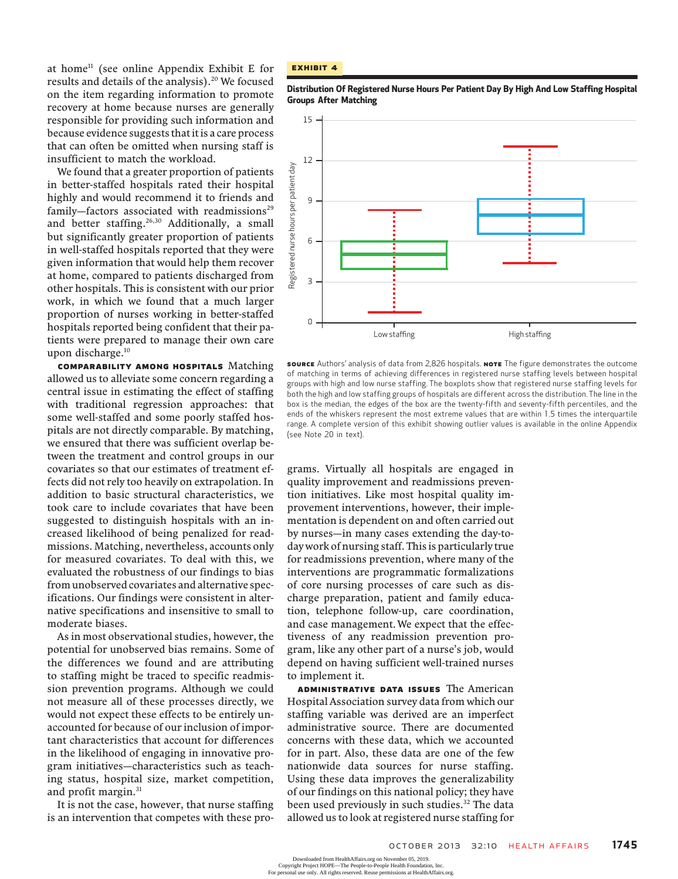at home11 (see online Appendix Exhibit E for results and details of the analysis).<sup>20</sup> We focused on the item regarding information to promote recovery at home because nurses are generally responsible for providing such information and because evidence suggests that it is a care process that can often be omitted when nursing staff is insufficient to match the workload.

We found that a greater proportion of patients in better-staffed hospitals rated their hospital highly and would recommend it to friends and family-factors associated with readmissions<sup>29</sup> and better staffing.<sup>26,30</sup> Additionally, a small but significantly greater proportion of patients in well-staffed hospitals reported that they were given information that would help them recover at home, compared to patients discharged from other hospitals. This is consistent with our prior work, in which we found that a much larger proportion of nurses working in better-staffed hospitals reported being confident that their patients were prepared to manage their own care upon discharge.<sup>10</sup>

Comparability Among Hospitals Matching allowed us to alleviate some concern regarding a central issue in estimating the effect of staffing with traditional regression approaches: that some well-staffed and some poorly staffed hospitals are not directly comparable. By matching, we ensured that there was sufficient overlap between the treatment and control groups in our covariates so that our estimates of treatment effects did not rely too heavily on extrapolation. In addition to basic structural characteristics, we took care to include covariates that have been suggested to distinguish hospitals with an increased likelihood of being penalized for readmissions. Matching, nevertheless, accounts only for measured covariates. To deal with this, we evaluated the robustness of our findings to bias from unobserved covariates and alternative specifications. Our findings were consistent in alternative specifications and insensitive to small to moderate biases.

As in most observational studies, however, the potential for unobserved bias remains. Some of the differences we found and are attributing to staffing might be traced to specific readmission prevention programs. Although we could not measure all of these processes directly, we would not expect these effects to be entirely unaccounted for because of our inclusion of important characteristics that account for differences in the likelihood of engaging in innovative program initiatives—characteristics such as teaching status, hospital size, market competition, and profit margin.<sup>31</sup>

It is not the case, however, that nurse staffing is an intervention that competes with these pro-

#### Exhibit 4

Distribution Of Registered Nurse Hours Per Patient Day By High And Low Staffing Hospital Groups After Matching



source Authors' analysis of data from 2,826 hospitals. Note The figure demonstrates the outcome of matching in terms of achieving differences in registered nurse staffing levels between hospital groups with high and low nurse staffing. The boxplots show that registered nurse staffing levels for both the high and low staffing groups of hospitals are different across the distribution. The line in the box is the median, the edges of the box are the twenty-fifth and seventy-fifth percentiles, and the ends of the whiskers represent the most extreme values that are within 1.5 times the interquartile range. A complete version of this exhibit showing outlier values is available in the online Appendix (see Note 20 in text).

grams. Virtually all hospitals are engaged in quality improvement and readmissions prevention initiatives. Like most hospital quality improvement interventions, however, their implementation is dependent on and often carried out by nurses—in many cases extending the day-today work of nursing staff. This is particularly true for readmissions prevention, where many of the interventions are programmatic formalizations of core nursing processes of care such as discharge preparation, patient and family education, telephone follow-up, care coordination, and case management.We expect that the effectiveness of any readmission prevention program, like any other part of a nurse's job, would depend on having sufficient well-trained nurses to implement it.

Administrative Data Issues The American Hospital Association survey data from which our staffing variable was derived are an imperfect administrative source. There are documented concerns with these data, which we accounted for in part. Also, these data are one of the few nationwide data sources for nurse staffing. Using these data improves the generalizability of our findings on this national policy; they have been used previously in such studies.<sup>32</sup> The data allowed us to look at registered nurse staffing for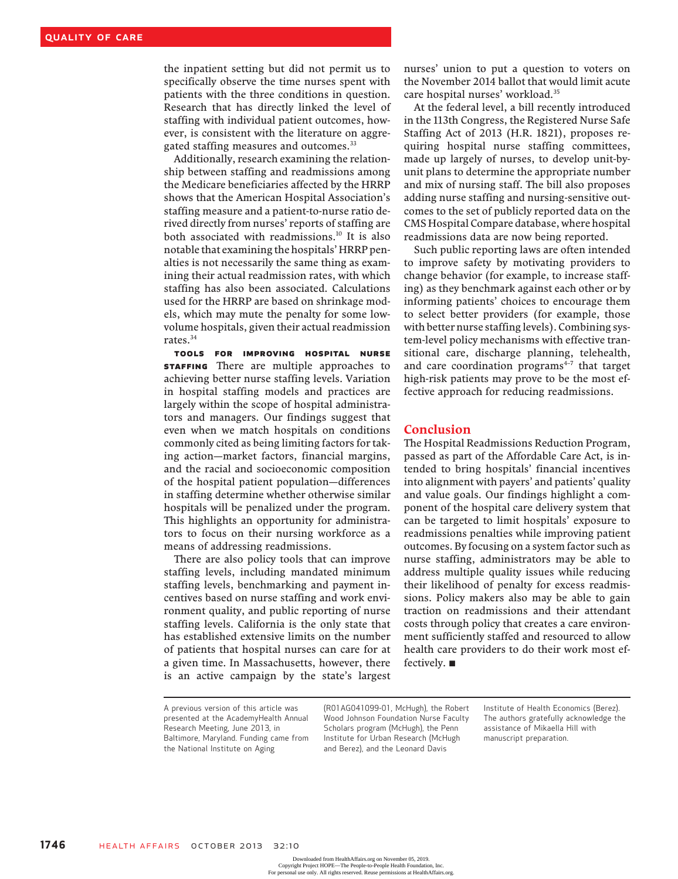the inpatient setting but did not permit us to specifically observe the time nurses spent with patients with the three conditions in question. Research that has directly linked the level of staffing with individual patient outcomes, however, is consistent with the literature on aggregated staffing measures and outcomes.<sup>33</sup>

Additionally, research examining the relationship between staffing and readmissions among the Medicare beneficiaries affected by the HRRP shows that the American Hospital Association's staffing measure and a patient-to-nurse ratio derived directly from nurses' reports of staffing are both associated with readmissions.<sup>10</sup> It is also notable that examining the hospitals' HRRP penalties is not necessarily the same thing as examining their actual readmission rates, with which staffing has also been associated. Calculations used for the HRRP are based on shrinkage models, which may mute the penalty for some lowvolume hospitals, given their actual readmission rates.<sup>34</sup>

Tools For Improving Hospital Nurse **STAFFING** There are multiple approaches to achieving better nurse staffing levels. Variation in hospital staffing models and practices are largely within the scope of hospital administrators and managers. Our findings suggest that even when we match hospitals on conditions commonly cited as being limiting factors for taking action—market factors, financial margins, and the racial and socioeconomic composition of the hospital patient population—differences in staffing determine whether otherwise similar hospitals will be penalized under the program. This highlights an opportunity for administrators to focus on their nursing workforce as a means of addressing readmissions.

There are also policy tools that can improve staffing levels, including mandated minimum staffing levels, benchmarking and payment incentives based on nurse staffing and work environment quality, and public reporting of nurse staffing levels. California is the only state that has established extensive limits on the number of patients that hospital nurses can care for at a given time. In Massachusetts, however, there is an active campaign by the state's largest

nurses' union to put a question to voters on the November 2014 ballot that would limit acute care hospital nurses' workload.35

At the federal level, a bill recently introduced in the 113th Congress, the Registered Nurse Safe Staffing Act of 2013 (H.R. 1821), proposes requiring hospital nurse staffing committees, made up largely of nurses, to develop unit-byunit plans to determine the appropriate number and mix of nursing staff. The bill also proposes adding nurse staffing and nursing-sensitive outcomes to the set of publicly reported data on the CMS Hospital Compare database, where hospital readmissions data are now being reported.

Such public reporting laws are often intended to improve safety by motivating providers to change behavior (for example, to increase staffing) as they benchmark against each other or by informing patients' choices to encourage them to select better providers (for example, those with better nurse staffing levels). Combining system-level policy mechanisms with effective transitional care, discharge planning, telehealth, and care coordination programs $4-7$  that target high-risk patients may prove to be the most effective approach for reducing readmissions.

# Conclusion

The Hospital Readmissions Reduction Program, passed as part of the Affordable Care Act, is intended to bring hospitals' financial incentives into alignment with payers' and patients' quality and value goals. Our findings highlight a component of the hospital care delivery system that can be targeted to limit hospitals' exposure to readmissions penalties while improving patient outcomes. By focusing on a system factor such as nurse staffing, administrators may be able to address multiple quality issues while reducing their likelihood of penalty for excess readmissions. Policy makers also may be able to gain traction on readmissions and their attendant costs through policy that creates a care environment sufficiently staffed and resourced to allow health care providers to do their work most effectively.  $\blacksquare$ 

A previous version of this article was presented at the AcademyHealth Annual Research Meeting, June 2013, in Baltimore, Maryland. Funding came from the National Institute on Aging

(R01AG041099-01, McHugh), the Robert Wood Johnson Foundation Nurse Faculty Scholars program (McHugh), the Penn Institute for Urban Research (McHugh and Berez), and the Leonard Davis

Institute of Health Economics (Berez). The authors gratefully acknowledge the assistance of Mikaella Hill with manuscript preparation.